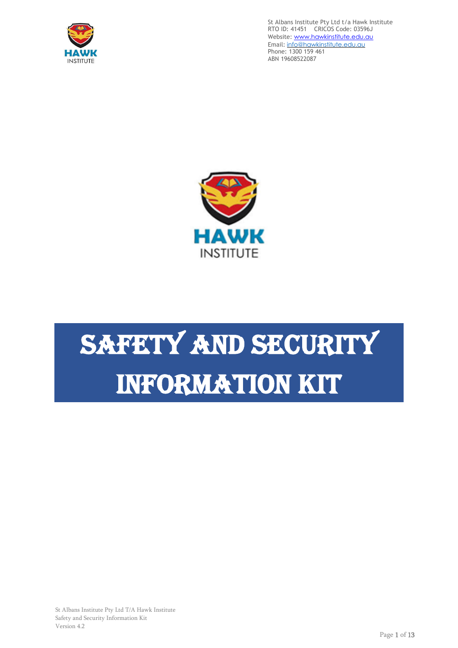



# SAFETY AND SECURITY Information Kit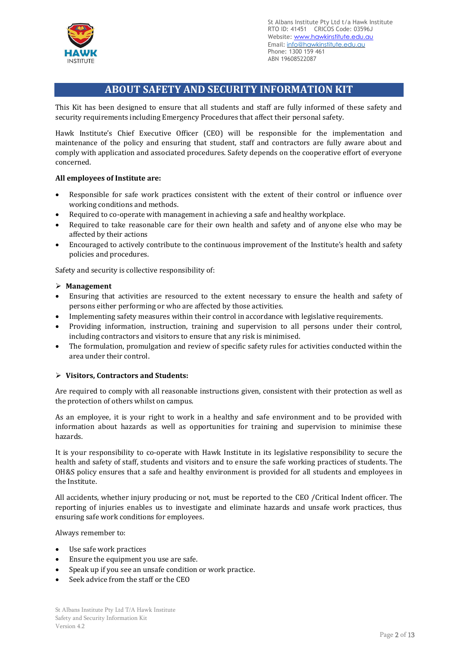

# **ABOUT SAFETY AND SECURITY INFORMATION KIT**

This Kit has been designed to ensure that all students and staff are fully informed of these safety and security requirements including Emergency Procedures that affect their personal safety.

Hawk Institute's Chief Executive Officer (CEO) will be responsible for the implementation and maintenance of the policy and ensuring that student, staff and contractors are fully aware about and comply with application and associated procedures. Safety depends on the cooperative effort of everyone concerned.

# **All employees of Institute are:**

- Responsible for safe work practices consistent with the extent of their control or influence over working conditions and methods.
- Required to co-operate with management in achieving a safe and healthy workplace.
- Required to take reasonable care for their own health and safety and of anyone else who may be affected by their actions
- Encouraged to actively contribute to the continuous improvement of the Institute's health and safety policies and procedures.

Safety and security is collective responsibility of:

#### ➢ **Management**

- Ensuring that activities are resourced to the extent necessary to ensure the health and safety of persons either performing or who are affected by those activities.
- Implementing safety measures within their control in accordance with legislative requirements.
- Providing information, instruction, training and supervision to all persons under their control, including contractors and visitors to ensure that any risk is minimised.
- The formulation, promulgation and review of specific safety rules for activities conducted within the area under their control.

# ➢ **Visitors, Contractors and Students:**

Are required to comply with all reasonable instructions given, consistent with their protection as well as the protection of others whilst on campus.

As an employee, it is your right to work in a healthy and safe environment and to be provided with information about hazards as well as opportunities for training and supervision to minimise these hazards.

It is your responsibility to co-operate with Hawk Institute in its legislative responsibility to secure the health and safety of staff, students and visitors and to ensure the safe working practices of students. The OH&S policy ensures that a safe and healthy environment is provided for all students and employees in the Institute.

All accidents, whether injury producing or not, must be reported to the CEO /Critical Indent officer. The reporting of injuries enables us to investigate and eliminate hazards and unsafe work practices, thus ensuring safe work conditions for employees.

Always remember to:

- Use safe work practices
- Ensure the equipment you use are safe.
- Speak up if you see an unsafe condition or work practice.
- Seek advice from the staff or the CEO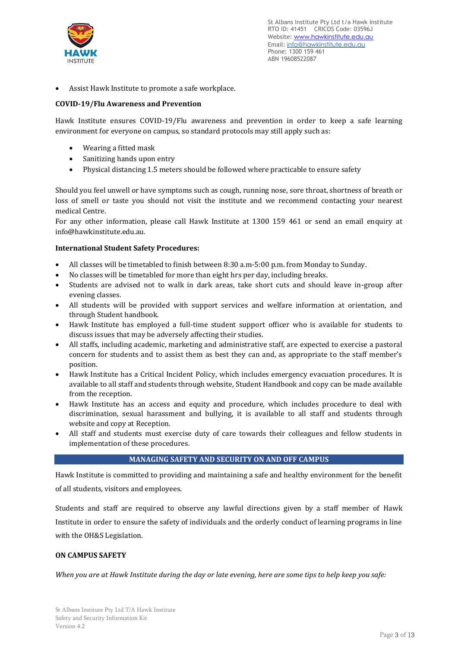

• Assist Hawk Institute to promote a safe workplace.

# **COVID-19/Flu Awareness and Prevention**

Hawk Institute ensures COVID-19/Flu awareness and prevention in order to keep a safe learning environment for everyone on campus, so standard protocols may still apply such as:

- Wearing a fitted mask
- Sanitizing hands upon entry
- Physical distancing 1.5 meters should be followed where practicable to ensure safety

Should you feel unwell or have symptoms such as cough, running nose, sore throat, shortness of breath or loss of smell or taste you should not visit the institute and we recommend contacting your nearest medical Centre.

For any other information, please call Hawk Institute at 1300 159 461 or send an email enquiry at [info@hawkinstitute.edu.au.](mailto:info@hawkinstitute.edu.au)

# **International Student Safety Procedures:**

- All classes will be timetabled to finish between 8:30 a.m-5:00 p.m. from Monday to Sunday.
- No classes will be timetabled for more than eight hrs per day, including breaks.
- Students are advised not to walk in dark areas, take short cuts and should leave in-group after evening classes.
- All students will be provided with support services and welfare information at orientation, and through Student handbook.
- Hawk Institute has employed a full-time student support officer who is available for students to discuss issues that may be adversely affecting their studies.
- All staffs, including academic, marketing and administrative staff, are expected to exercise a pastoral concern for students and to assist them as best they can and, as appropriate to the staff member's position.
- Hawk Institute has a Critical Incident Policy, which includes emergency evacuation procedures. It is available to all staff and students through website, Student Handbook and copy can be made available from the reception.
- Hawk Institute has an access and equity and procedure, which includes procedure to deal with discrimination, sexual harassment and bullying, it is available to all staff and students through website and copy at Reception.
- All staff and students must exercise duty of care towards their colleagues and fellow students in implementation of these procedures.

#### **MANAGING SAFETY AND SECURITY ON AND OFF CAMPUS**

Hawk Institute is committed to providing and maintaining a safe and healthy environment for the benefit of all students, visitors and employees.

Students and staff are required to observe any lawful directions given by a staff member of Hawk Institute in order to ensure the safety of individuals and the orderly conduct of learning programs in line with the OH&S Legislation.

# **ON CAMPUS SAFETY**

*When you are at Hawk Institute during the day or late evening, here are some tips to help keep you safe:*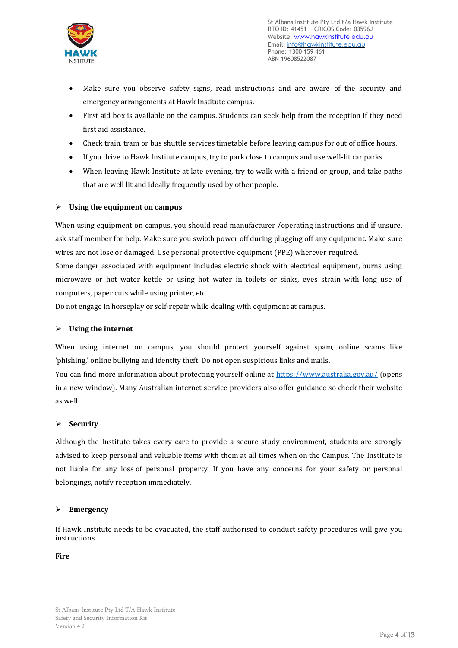

- Make sure you observe safety signs, read instructions and are aware of the security and emergency arrangements at Hawk Institute campus.
- First aid box is available on the campus. Students can seek help from the reception if they need first aid assistance.
- Check train, tram or bus shuttle services timetable before leaving campus for out of office hours.
- If you drive to Hawk Institute campus, try to park close to campus and use well-lit car parks.
- When leaving Hawk Institute at late evening, try to walk with a friend or group, and take paths that are well lit and ideally frequently used by other people*.*

#### ➢ **Using the equipment on campus**

When using equipment on campus, you should read manufacturer /operating instructions and if unsure, ask staff member for help. Make sure you switch power off during plugging off any equipment. Make sure wires are not lose or damaged. Use personal protective equipment (PPE) wherever required.

Some danger associated with equipment includes electric shock with electrical equipment, burns using microwave or hot water kettle or using hot water in toilets or sinks, eyes strain with long use of computers, paper cuts while using printer, etc.

Do not engage in horseplay or self-repair while dealing with equipment at campus.

#### ➢ **Using the internet**

When using internet on campus, you should protect yourself against spam, online scams like 'phishing,' online bullying and identity theft. Do not open suspicious links and mails.

You can find more information about protecting yourself online at<https://www.australia.gov.au/> (opens in a new window). Many Australian internet service providers also offer guidance so check their website as well*.*

#### ➢ **Security**

Although the Institute takes every care to provide a secure study environment, students are strongly advised to keep personal and valuable items with them at all times when on the Campus. The Institute is not liable for any loss of personal property. If you have any concerns for your safety or personal belongings, notify reception immediately.

#### ➢ **Emergency**

If Hawk Institute needs to be evacuated, the staff authorised to conduct safety procedures will give you instructions.

#### **Fire**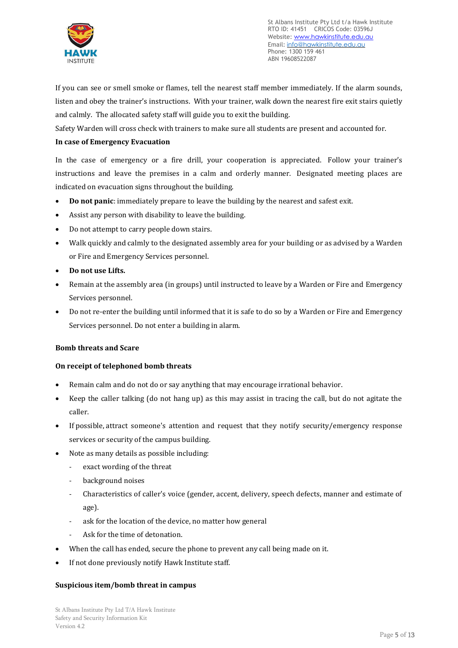

If you can see or smell smoke or flames, tell the nearest staff member immediately. If the alarm sounds, listen and obey the trainer's instructions. With your trainer, walk down the nearest fire exit stairs quietly and calmly. The allocated safety staff will guide you to exit the building.

Safety Warden will cross check with trainers to make sure all students are present and accounted for.

# **In case of Emergency Evacuation**

In the case of emergency or a fire drill, your cooperation is appreciated. Follow your trainer's instructions and leave the premises in a calm and orderly manner. Designated meeting places are indicated on evacuation signs throughout the building.

- **Do not panic**: immediately prepare to leave the building by the nearest and safest exit.
- Assist any person with disability to leave the building.
- Do not attempt to carry people down stairs.
- Walk quickly and calmly to the designated assembly area for your building or as advised by a Warden or Fire and Emergency Services personnel.
- **Do not use Lifts.**
- Remain at the assembly area (in groups) until instructed to leave by a Warden or Fire and Emergency Services personnel.
- Do not re-enter the building until informed that it is safe to do so by a Warden or Fire and Emergency Services personnel. Do not enter a building in alarm.

# **Bomb threats and Scare**

# **On receipt of telephoned bomb threats**

- Remain calm and do not do or say anything that may encourage irrational behavior.
- Keep the caller talking (do not hang up) as this may assist in tracing the call, but do not agitate the caller.
- If possible, attract someone's attention and request that they notify security/emergency response services or security of the campus building.
- Note as many details as possible including:
	- exact wording of the threat
	- background noises
	- Characteristics of caller's voice (gender, accent, delivery, speech defects, manner and estimate of age).
	- ask for the location of the device, no matter how general
	- Ask for the time of detonation.
- When the call has ended, secure the phone to prevent any call being made on it.
- If not done previously notify Hawk Institute staff.

# **Suspicious item/bomb threat in campus**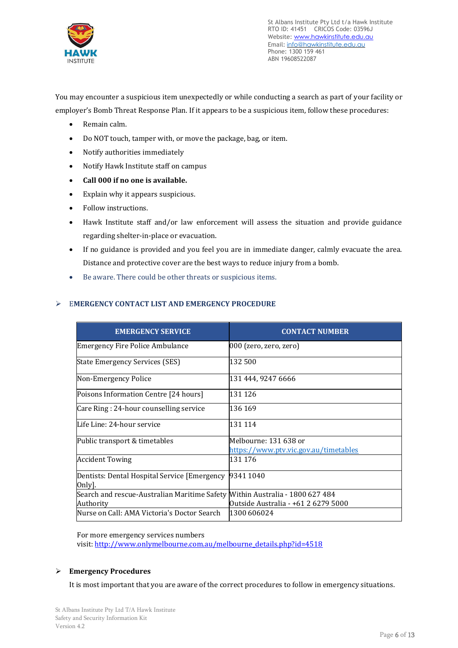

You may encounter a suspicious item unexpectedly or while conducting a search as part of your facility or

employer's Bomb Threat Response Plan. If it appears to be a suspicious item, follow these procedures:

- Remain calm.
- Do NOT touch, tamper with, or move the package, bag, or item.
- Notify authorities immediately
- Notify Hawk Institute staff on campus
- **Call 000 if no one is available.**
- Explain why it appears suspicious.
- Follow instructions.
- Hawk Institute staff and/or law enforcement will assess the situation and provide guidance regarding shelter-in-place or evacuation.
- If no guidance is provided and you feel you are in immediate danger, calmly evacuate the area. Distance and protective cover are the best ways to reduce injury from a bomb.
- Be aware. There could be other threats or suspicious items.

# ➢ E**MERGENCY CONTACT LIST AND EMERGENCY PROCEDURE**

| <b>EMERGENCY SERVICE</b>                                                     | <b>CONTACT NUMBER</b>                 |
|------------------------------------------------------------------------------|---------------------------------------|
| Emergency Fire Police Ambulance                                              | $ 000\rangle$ (zero, zero, zero)      |
| State Emergency Services (SES)                                               | 132 500                               |
| Non-Emergency Police                                                         | 131 444, 9247 6666                    |
| Poisons Information Centre [24 hours]                                        | 131 126                               |
| Care Ring: 24-hour counselling service                                       | 136 169                               |
| Life Line: 24-hour service                                                   | 131 114                               |
| Public transport & timetables                                                | Melbourne: 131 638 or                 |
|                                                                              | https://www.ptv.vic.gov.au/timetables |
| <b>Accident Towing</b>                                                       | 131 176                               |
| Dentists: Dental Hospital Service [Emergency 9341 1040<br>Only].             |                                       |
| Search and rescue-Australian Maritime Safety Within Australia - 1800 627 484 |                                       |
| Authority                                                                    | Outside Australia - +61 2 6279 5000   |
| Nurse on Call: AMA Victoria's Doctor Search                                  | 1300 606024                           |

For more emergency services numbers

visit: [http://www.onlymelbourne.com.au/melbourne\\_details.php?id=4518](http://www.onlymelbourne.com.au/melbourne_details.php?id=4518)

# ➢ **Emergency Procedures**

It is most important that you are aware of the correct procedures to follow in emergency situations.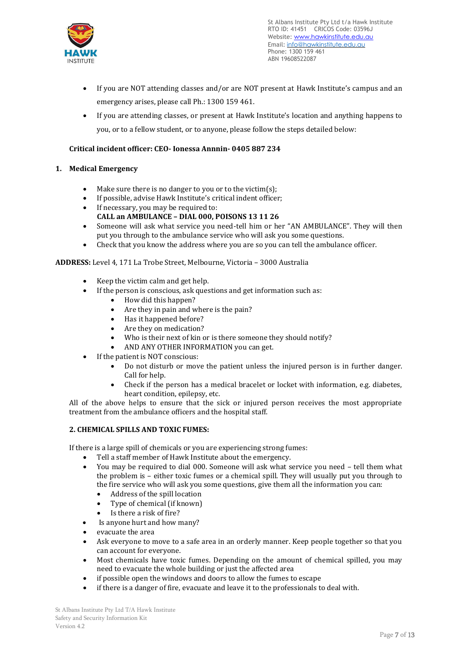

- If you are NOT attending classes and/or are NOT present at Hawk Institute's campus and an emergency arises, please call Ph.: 1300 159 461.
- If you are attending classes, or present at Hawk Institute's location and anything happens to you, or to a fellow student, or to anyone, please follow the steps detailed below:

# **Critical incident officer: CEO- Ionessa Annnin- 0405 887 234**

# **1. Medical Emergency**

- Make sure there is no danger to you or to the victim(s);
- If possible, advise Hawk Institute's critical indent officer;
- If necessary, you may be required to: **CALL an AMBULANCE – DIAL 000, POISONS 13 11 26**
- Someone will ask what service you need-tell him or her "AN AMBULANCE". They will then put you through to the ambulance service who will ask you some questions.
- Check that you know the address where you are so you can tell the ambulance officer.

# **ADDRESS:** Level 4, 171 La Trobe Street, Melbourne, Victoria – 3000 Australia

- Keep the victim calm and get help.
- If the person is conscious, ask questions and get information such as:
	- How did this happen?
	- Are they in pain and where is the pain?
	- Has it happened before?
	- Are they on medication?
	- Who is their next of kin or is there someone they should notify?
	- AND ANY OTHER INFORMATION you can get.
- If the patient is NOT conscious:
	- Do not disturb or move the patient unless the injured person is in further danger. Call for help.
	- Check if the person has a medical bracelet or locket with information, e.g. diabetes, heart condition, epilepsy, etc.

All of the above helps to ensure that the sick or injured person receives the most appropriate treatment from the ambulance officers and the hospital staff.

# **2. CHEMICAL SPILLS AND TOXIC FUMES:**

If there is a large spill of chemicals or you are experiencing strong fumes:

- Tell a staff member of Hawk Institute about the emergency.
- You may be required to dial 000. Someone will ask what service you need tell them what the problem is – either toxic fumes or a chemical spill. They will usually put you through to the fire service who will ask you some questions, give them all the information you can:
	- Address of the spill location
	- Type of chemical (if known)
	- Is there a risk of fire?
- Is anyone hurt and how many?
- evacuate the area
- Ask everyone to move to a safe area in an orderly manner. Keep people together so that you can account for everyone.
- Most chemicals have toxic fumes. Depending on the amount of chemical spilled, you may need to evacuate the whole building or just the affected area
- if possible open the windows and doors to allow the fumes to escape
- if there is a danger of fire, evacuate and leave it to the professionals to deal with.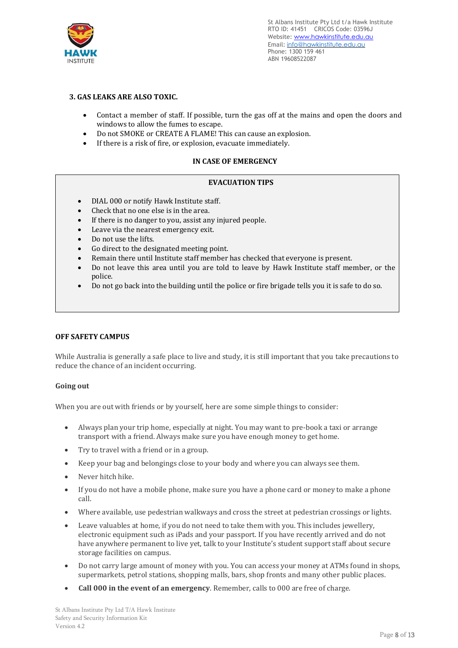

# **3. GAS LEAKS ARE ALSO TOXIC.**

- Contact a member of staff. If possible, turn the gas off at the mains and open the doors and windows to allow the fumes to escape.
- Do not SMOKE or CREATE A FLAME! This can cause an explosion.
- If there is a risk of fire, or explosion, evacuate immediately.

# **IN CASE OF EMERGENCY**

# **EVACUATION TIPS**

- DIAL 000 or notify Hawk Institute staff.
- Check that no one else is in the area.
- If there is no danger to you, assist any injured people.
- Leave via the nearest emergency exit.
- Do not use the lifts.
- Go direct to the designated meeting point.
- Remain there until Institute staff member has checked that everyone is present.
- Do not leave this area until you are told to leave by Hawk Institute staff member, or the police.
- Do not go back into the building until the police or fire brigade tells you it is safe to do so.

#### **OFF SAFETY CAMPUS**

While Australia is generally a safe place to live and study, it is still important that you take precautions to reduce the chance of an incident occurring.

#### **Going out**

When you are out with friends or by yourself, here are some simple things to consider:

- Always plan your trip home, especially at night. You may want to pre-book a taxi or arrange transport with a friend. Always make sure you have enough money to get home.
- Try to travel with a friend or in a group.
- Keep your bag and belongings close to your body and where you can always see them.
- Never hitch hike.
- If you do not have a mobile phone, make sure you have a phone card or money to make a phone call.
- Where available, use pedestrian walkways and cross the street at pedestrian crossings or lights.
- Leave valuables at home, if you do not need to take them with you. This includes jewellery, electronic equipment such as iPads and your passport. If you have recently arrived and do not have anywhere permanent to live yet, talk to your Institute's student support staff about secure storage facilities on campus.
- Do not carry large amount of money with you. You can access your money at ATMs found in shops, supermarkets, petrol stations, shopping malls, bars, shop fronts and many other public places.
- **Call 000 in the event of an emergency**. Remember, calls to 000 are free of charge.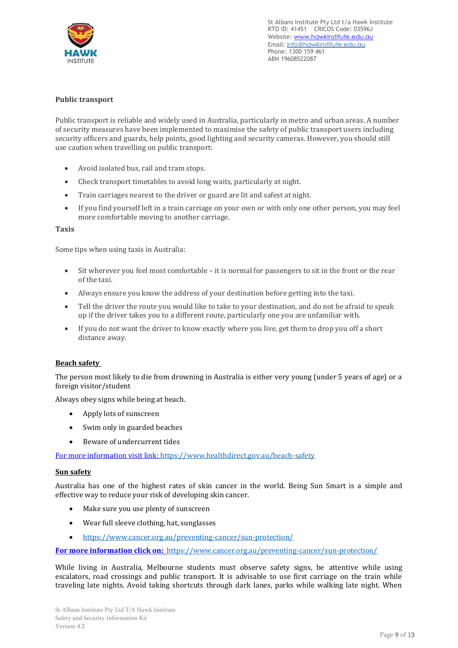

#### **Public transport**

Public transport is reliable and widely used in Australia, particularly in metro and urban areas. A number of security measures have been implemented to maximise the safety of public transport users including security officers and guards, help points, good lighting and security cameras. However, you should still use caution when travelling on public transport:

- Avoid isolated bus, rail and tram stops.
- Check transport timetables to avoid long waits, particularly at night.
- Train carriages nearest to the driver or guard are lit and safest at night.
- If you find yourself left in a train carriage on your own or with only one other person, you may feel more comfortable moving to another carriage.

#### **Taxis**

Some tips when using taxis in Australia:

- Sit wherever you feel most comfortable it is normal for passengers to sit in the front or the rear of the taxi.
- Always ensure you know the address of your destination before getting into the taxi.
- Tell the driver the route you would like to take to your destination, and do not be afraid to speak up if the driver takes you to a different route, particularly one you are unfamiliar with.
- If you do not want the driver to know exactly where you live, get them to drop you off a short distance away.

#### **Beach safety**

The person most likely to die from drowning in Australia is either very young (under 5 years of age) or a foreign visitor/student

Always obey signs while being at beach.

- Apply lots of sunscreen
- Swim only in guarded beaches
- Beware of undercurrent tides

For more information visit link:<https://www.healthdirect.gov.au/beach-safety>

#### **Sun safety**

Australia has one of the highest rates of skin cancer in the world. Being Sun Smart is a simple and effective way to reduce your risk of developing skin cancer.

- Make sure you use plenty of sunscreen
- Wear full sleeve clothing, hat, sunglasses
- <https://www.cancer.org.au/preventing-cancer/sun-protection/>

**For more information click on:** <https://www.cancer.org.au/preventing-cancer/sun-protection/>

While living in Australia, Melbourne students must observe safety signs, be attentive while using escalators, road crossings and public transport. It is advisable to use first carriage on the train while traveling late nights. Avoid taking shortcuts through dark lanes, parks while walking late night. When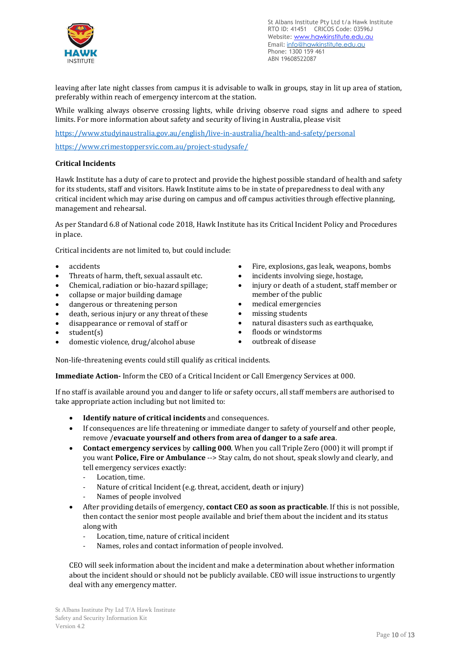

leaving after late night classes from campus it is advisable to walk in groups, stay in lit up area of station, preferably within reach of emergency intercom at the station.

While walking always observe crossing lights, while driving observe road signs and adhere to speed limits. For more information about safety and security of living in Australia, please visit

<https://www.studyinaustralia.gov.au/english/live-in-australia/health-and-safety/personal>

<https://www.crimestoppersvic.com.au/project-studysafe/>

#### **Critical Incidents**

Hawk Institute has a duty of care to protect and provide the highest possible standard of health and safety for its students, staff and visitors. Hawk Institute aims to be in state of preparedness to deal with any critical incident which may arise during on campus and off campus activities through effective planning, management and rehearsal.

As per Standard 6.8 of National code 2018, Hawk Institute has its Critical Incident Policy and Procedures in place.

Critical incidents are not limited to, but could include:

- accidents
- Threats of harm, theft, sexual assault etc.
- Chemical, radiation or bio-hazard spillage;
- collapse or major building damage
- dangerous or threatening person
- death, serious injury or any threat of these
- disappearance or removal of staff or
- student(s)
- domestic violence, drug/alcohol abuse
- Fire, explosions, gas leak, weapons, bombs
- incidents involving siege, hostage,
- injury or death of a student, staff member or member of the public
- medical emergencies
- missing students
- natural disasters such as earthquake,
- floods or windstorms
- outbreak of disease

Non-life-threatening events could still qualify as critical incidents.

**Immediate Action-** Inform the CEO of a Critical Incident or Call Emergency Services at 000.

If no staff is available around you and danger to life or safety occurs, all staff members are authorised to take appropriate action including but not limited to:

- **Identify nature of critical incidents** and consequences.
- If consequences are life threatening or immediate danger to safety of yourself and other people, remove /**evacuate yourself and others from area of danger to a safe area**.
- **Contact emergency services** by **calling 000**. When you call Triple Zero (000) it will prompt if you want Police, Fire or Ambulance --> Stay calm, do not shout, speak slowly and clearly, and tell emergency services exactly:
	- Location, time.
	- Nature of critical Incident (e.g. threat, accident, death or injury)
	- Names of people involved
- After providing details of emergency, **contact CEO as soon as practicable**. If this is not possible, then contact the senior most people available and brief them about the incident and its status along with
	- Location, time, nature of critical incident
	- Names, roles and contact information of people involved.

CEO will seek information about the incident and make a determination about whether information about the incident should or should not be publicly available. CEO will issue instructions to urgently deal with any emergency matter.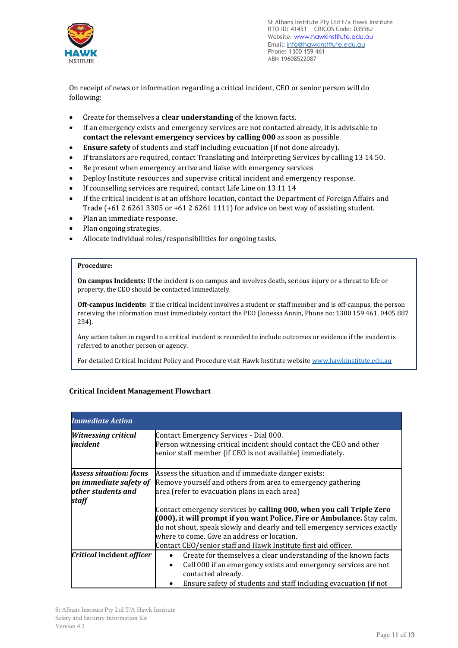

On receipt of news or information regarding a critical incident, CEO or senior person will do following:

- Create for themselves a **clear understanding** of the known facts.
- If an emergency exists and emergency services are not contacted already, it is advisable to **contact the relevant emergency services by calling 000** as soon as possible.
- **Ensure safety** of students and staff including evacuation (if not done already).
- If translators are required, contact Translating and Interpreting Services by calling 13 14 50.
- Be present when emergency arrive and liaise with emergency services
- Deploy Institute resources and supervise critical incident and emergency response.
- If counselling services are required, contact Life Line on 13 11 14
- If the critical incident is at an offshore location, contact the Department of Foreign Affairs and Trade (+61 2 6261 3305 or +61 2 6261 1111) for advice on best way of assisting student.
- Plan an immediate response.
- Plan ongoing strategies.
- Allocate individual roles/responsibilities for ongoing tasks.

#### **Procedure:**

**On campus Incidents:** If the incident is on campus and involves death, serious injury or a threat to life or property, the CEO should be contacted immediately.

**Off-campus Incidents:** If the critical incident involves a student or staff member and is off-campus, the person receiving the information must immediately contact the PEO (Ionessa Annin, Phone no: 1300 159 461, 0405 887 234).

Any action taken in regard to a critical incident is recorded to include outcomes or evidence if the incident is referred to another person or agency.

For detailed Critical Incident Policy and Procedure visit Hawk Institute website [www.hawkinstitute.edu.au](http://www.hawkinstitute.edu.au/)

# **Critical Incident Management Flowchart**

| <b>Immediate Action</b>                |                                                                                                                                                                              |  |
|----------------------------------------|------------------------------------------------------------------------------------------------------------------------------------------------------------------------------|--|
| <b>Witnessing critical</b><br>incident | Contact Emergency Services - Dial 000.<br>Person witnessing critical incident should contact the CEO and other<br>senior staff member (if CEO is not available) immediately. |  |
|                                        |                                                                                                                                                                              |  |
| <b>Assess situation: focus</b>         | Assess the situation and if immediate danger exists:                                                                                                                         |  |
| on immediate safety of                 | Remove yourself and others from area to emergency gathering                                                                                                                  |  |
| other students and<br>staff            | area (refer to evacuation plans in each area)                                                                                                                                |  |
|                                        | Contact emergency services by calling 000, when you call Triple Zero                                                                                                         |  |
|                                        | (000), it will prompt if you want Police, Fire or Ambulance. Stay calm,                                                                                                      |  |
|                                        | do not shout, speak slowly and clearly and tell emergency services exactly                                                                                                   |  |
|                                        | where to come. Give an address or location.                                                                                                                                  |  |
|                                        | Contact CEO/senior staff and Hawk Institute first aid officer.                                                                                                               |  |
| Critical incident officer              | Create for themselves a clear understanding of the known facts                                                                                                               |  |
|                                        | Call 000 if an emergency exists and emergency services are not<br>$\bullet$                                                                                                  |  |
|                                        | contacted already.                                                                                                                                                           |  |
|                                        | Ensure safety of students and staff including evacuation (if not                                                                                                             |  |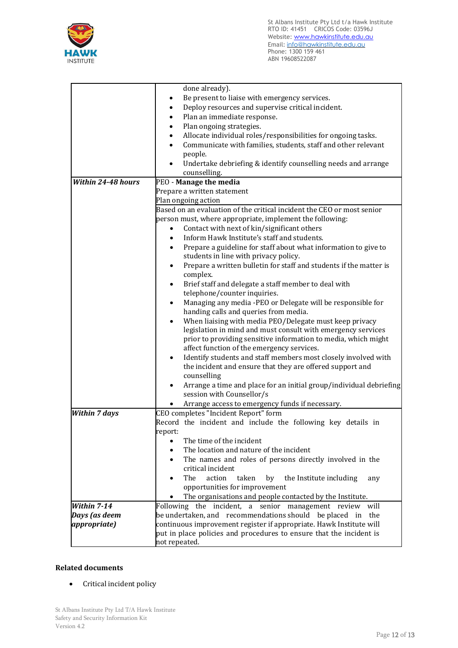

|                           | done already).                                                                                                        |  |
|---------------------------|-----------------------------------------------------------------------------------------------------------------------|--|
|                           | Be present to liaise with emergency services.                                                                         |  |
|                           | Deploy resources and supervise critical incident.                                                                     |  |
|                           | Plan an immediate response.                                                                                           |  |
|                           | Plan ongoing strategies.                                                                                              |  |
|                           | Allocate individual roles/responsibilities for ongoing tasks.<br>٠                                                    |  |
|                           |                                                                                                                       |  |
|                           | Communicate with families, students, staff and other relevant<br>$\bullet$                                            |  |
|                           | people.                                                                                                               |  |
|                           | Undertake debriefing & identify counselling needs and arrange<br>$\bullet$<br>counselling.                            |  |
| <b>Within 24-48 hours</b> | PEO - Manage the media                                                                                                |  |
|                           | Prepare a written statement                                                                                           |  |
|                           | Plan ongoing action                                                                                                   |  |
|                           | Based on an evaluation of the critical incident the CEO or most senior                                                |  |
|                           | person must, where appropriate, implement the following:                                                              |  |
|                           | Contact with next of kin/significant others<br>$\bullet$                                                              |  |
|                           | Inform Hawk Institute's staff and students.<br>$\bullet$                                                              |  |
|                           |                                                                                                                       |  |
|                           | Prepare a guideline for staff about what information to give to<br>$\bullet$<br>students in line with privacy policy. |  |
|                           |                                                                                                                       |  |
|                           | Prepare a written bulletin for staff and students if the matter is<br>$\bullet$                                       |  |
|                           | complex.                                                                                                              |  |
|                           | Brief staff and delegate a staff member to deal with<br>$\bullet$                                                     |  |
|                           | telephone/counter inquiries.                                                                                          |  |
|                           | Managing any media -PEO or Delegate will be responsible for<br>$\bullet$<br>handing calls and queries from media.     |  |
|                           | When liaising with media PEO/Delegate must keep privacy<br>$\bullet$                                                  |  |
|                           | legislation in mind and must consult with emergency services                                                          |  |
|                           | prior to providing sensitive information to media, which might                                                        |  |
|                           | affect function of the emergency services.                                                                            |  |
|                           | Identify students and staff members most closely involved with<br>$\bullet$                                           |  |
|                           | the incident and ensure that they are offered support and                                                             |  |
|                           | counselling                                                                                                           |  |
|                           | Arrange a time and place for an initial group/individual debriefing<br>$\bullet$                                      |  |
|                           | session with Counsellor/s                                                                                             |  |
|                           | Arrange access to emergency funds if necessary.                                                                       |  |
| <b>Within 7 days</b>      | CEO completes "Incident Report" form                                                                                  |  |
|                           | Record the incident and include the following key details in                                                          |  |
|                           | report:                                                                                                               |  |
|                           | The time of the incident<br>$\bullet$                                                                                 |  |
|                           | The location and nature of the incident<br>$\bullet$                                                                  |  |
|                           | The names and roles of persons directly involved in the<br>$\bullet$                                                  |  |
|                           | critical incident                                                                                                     |  |
|                           | action<br>taken<br>The<br>by<br>the Institute including<br>any<br>٠                                                   |  |
|                           | opportunities for improvement                                                                                         |  |
|                           | The organisations and people contacted by the Institute.                                                              |  |
| Within 7-14               | Following the incident, a senior management review will                                                               |  |
| Days (as deem             | be undertaken, and recommendations should be placed in the                                                            |  |
| <i>appropriate</i> )      |                                                                                                                       |  |
|                           | continuous improvement register if appropriate. Hawk Institute will                                                   |  |
|                           | put in place policies and procedures to ensure that the incident is                                                   |  |
|                           | not repeated.                                                                                                         |  |

# **Related documents**

• Critical incident policy